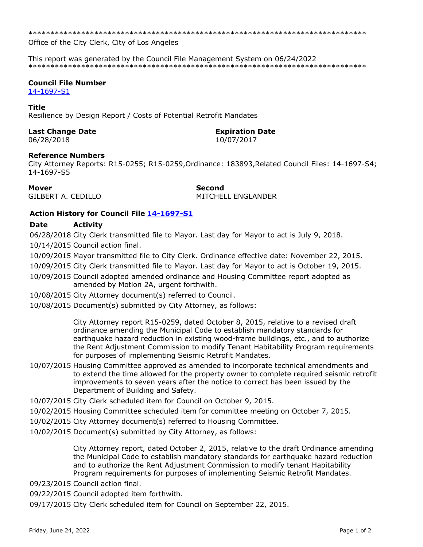\*\*\*\*\*\*\*\*\*\*\*\*\*\*\*\*\*\*\*\*\*\*\*\*\*\*\*\*\*\*\*\*\*\*\*\*\*\*\*\*\*\*\*\*\*\*\*\*\*\*\*\*\*\*\*\*\*\*\*\*\*\*\*\*\*\*\*\*\*\*\*\*\*\*\*\*\*

Office of the City Clerk, City of Los Angeles

This report was generated by the Council File Management System on 06/24/2022 \*\*\*\*\*\*\*\*\*\*\*\*\*\*\*\*\*\*\*\*\*\*\*\*\*\*\*\*\*\*\*\*\*\*\*\*\*\*\*\*\*\*\*\*\*\*\*\*\*\*\*\*\*\*\*\*\*\*\*\*\*\*\*\*\*\*\*\*\*\*\*\*\*\*\*\*\*

# **Council File Number**

[14-1697-S1](https://cityclerk.lacity.org/lacityclerkconnect/index.cfm?fa=ccfi.viewrecord&cfnumber=14-1697-S1)

### **Title**

Resilience by Design Report / Costs of Potential Retrofit Mandates

## **Last Change Date Expiration Date**

06/28/2018 10/07/2017

### **Reference Numbers**

City Attorney Reports: R15-0255; R15-0259,Ordinance: 183893,Related Council Files: 14-1697-S4; 14-1697-S5

**Mover Second**

GILBERT A. CEDILLO MITCHELL ENGLANDER

## **Action History for Council File [14-1697-S1](https://cityclerk.lacity.org/lacityclerkconnect/index.cfm?fa=ccfi.viewrecord&cfnumber=14-1697-S1)**

### **Date Activity**

06/28/2018 City Clerk transmitted file to Mayor. Last day for Mayor to act is July 9, 2018. 10/14/2015 Council action final.

10/09/2015 Mayor transmitted file to City Clerk. Ordinance effective date: November 22, 2015.

10/09/2015 City Clerk transmitted file to Mayor. Last day for Mayor to act is October 19, 2015.

- 10/09/2015 Council adopted amended ordinance and Housing Committee report adopted as amended by Motion 2A, urgent forthwith.
- 10/08/2015 City Attorney document(s) referred to Council.
- 10/08/2015 Document(s) submitted by City Attorney, as follows:

City Attorney report R15-0259, dated October 8, 2015, relative to a revised draft ordinance amending the Municipal Code to establish mandatory standards for earthquake hazard reduction in existing wood-frame buildings, etc., and to authorize the Rent Adjustment Commission to modify Tenant Habitability Program requirements for purposes of implementing Seismic Retrofit Mandates.

- 10/07/2015 Housing Committee approved as amended to incorporate technical amendments and to extend the time allowed for the property owner to complete required seismic retrofit improvements to seven years after the notice to correct has been issued by the Department of Building and Safety.
- 10/07/2015 City Clerk scheduled item for Council on October 9, 2015.
- 10/02/2015 Housing Committee scheduled item for committee meeting on October 7, 2015.
- 10/02/2015 City Attorney document(s) referred to Housing Committee.
- 10/02/2015 Document(s) submitted by City Attorney, as follows:

City Attorney report, dated October 2, 2015, relative to the draft Ordinance amending the Municipal Code to establish mandatory standards for earthquake hazard reduction and to authorize the Rent Adjustment Commission to modify tenant Habitability Program requirements for purposes of implementing Seismic Retrofit Mandates.

09/23/2015 Council action final.

09/22/2015 Council adopted item forthwith.

09/17/2015 City Clerk scheduled item for Council on September 22, 2015.